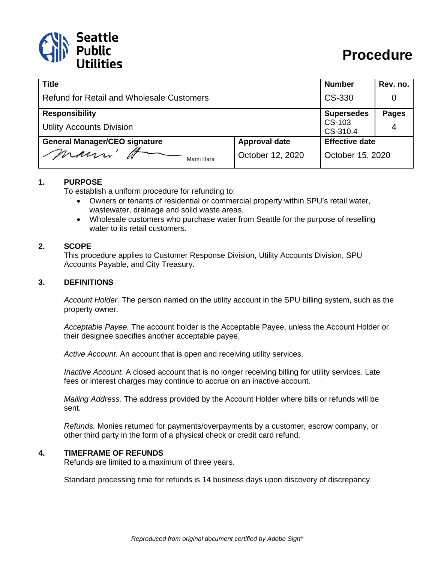

# **Procedure**

| <b>Title</b>                                     |                      | <b>Number</b>         | Rev. no.     |
|--------------------------------------------------|----------------------|-----------------------|--------------|
| <b>Refund for Retail and Wholesale Customers</b> |                      | CS-330                | 0            |
| <b>Responsibility</b>                            |                      | <b>Supersedes</b>     | <b>Pages</b> |
| <b>Utility Accounts Division</b>                 |                      | CS-103<br>CS-310.4    | 4            |
| <b>General Manager/CEO signature</b>             | <b>Approval date</b> | <b>Effective date</b> |              |
| mauri'<br>Mami Hara                              | October 12, 2020     | October 15, 2020      |              |

#### **1. PURPOSE**

To establish a uniform procedure for refunding to:

- Owners or tenants of residential or commercial property within SPU's retail water, wastewater, drainage and solid waste areas.
- Wholesale customers who purchase water from Seattle for the purpose of reselling water to its retail customers.

#### **2. SCOPE**

This procedure applies to Customer Response Division, Utility Accounts Division, SPU Accounts Payable, and City Treasury.

#### **3. DEFINITIONS**

*Account Holder.* The person named on the utility account in the SPU billing system, such as the property owner.

*Acceptable Payee.* The account holder is the Acceptable Payee, unless the Account Holder or their designee specifies another acceptable payee.

*Active Account.* An account that is open and receiving utility services.

*Inactive Account.* A closed account that is no longer receiving billing for utility services. Late fees or interest charges may continue to accrue on an inactive account.

*Mailing Address.* The address provided by the Account Holder where bills or refunds will be sent.

*Refunds.* Monies returned for payments/overpayments by a customer, escrow company, or other third party in the form of a physical check or credit card refund.

#### **4. TIMEFRAME OF REFUNDS**

Refunds are limited to a maximum of three years.

Standard processing time for refunds is 14 business days upon discovery of discrepancy.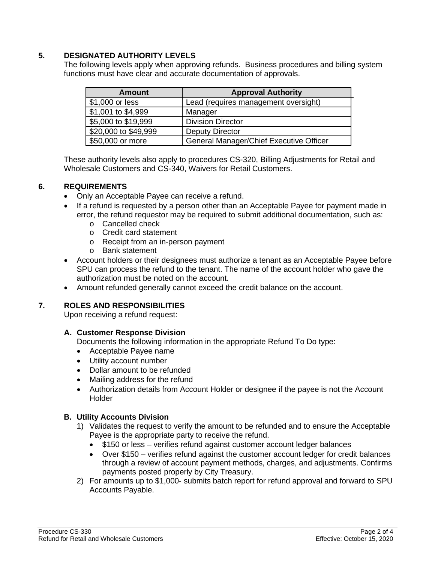### **5. DESIGNATED AUTHORITY LEVELS**

The following levels apply when approving refunds. Business procedures and billing system functions must have clear and accurate documentation of approvals.

| <b>Amount</b>        | <b>Approval Authority</b>               |
|----------------------|-----------------------------------------|
| \$1,000 or less      | Lead (requires management oversight)    |
| \$1,001 to \$4,999   | Manager                                 |
| \$5,000 to \$19,999  | <b>Division Director</b>                |
| \$20,000 to \$49,999 | <b>Deputy Director</b>                  |
| \$50,000 or more     | General Manager/Chief Executive Officer |

These authority levels also apply to procedures CS-320, Billing Adjustments for Retail and Wholesale Customers and CS-340, Waivers for Retail Customers.

### **6. REQUIREMENTS**

- Only an Acceptable Payee can receive a refund.
- If a refund is requested by a person other than an Acceptable Payee for payment made in error, the refund requestor may be required to submit additional documentation, such as:
	- o Cancelled check
	- o Credit card statement
	- o Receipt from an in-person payment
	- o Bank statement
- Account holders or their designees must authorize a tenant as an Acceptable Payee before SPU can process the refund to the tenant. The name of the account holder who gave the authorization must be noted on the account.
- Amount refunded generally cannot exceed the credit balance on the account.

### **7. ROLES AND RESPONSIBILITIES**

Upon receiving a refund request:

### **A. Customer Response Division**

Documents the following information in the appropriate Refund To Do type:

- Acceptable Payee name
- Utility account number
- Dollar amount to be refunded
- Mailing address for the refund
- Authorization details from Account Holder or designee if the payee is not the Account Holder

### **B. Utility Accounts Division**

- 1) Validates the request to verify the amount to be refunded and to ensure the Acceptable Payee is the appropriate party to receive the refund.
	- \$150 or less verifies refund against customer account ledger balances
	- Over \$150 verifies refund against the customer account ledger for credit balances through a review of account payment methods, charges, and adjustments. Confirms payments posted properly by City Treasury.
- 2) For amounts up to \$1,000- submits batch report for refund approval and forward to SPU Accounts Payable.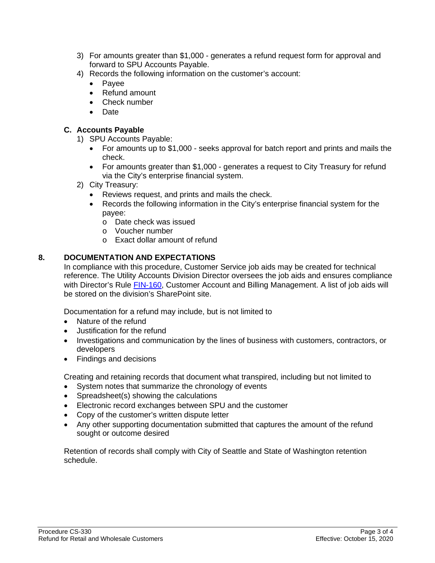- 3) For amounts greater than \$1,000 generates a refund request form for approval and forward to SPU Accounts Payable.
- 4) Records the following information on the customer's account:
	- Payee
	- Refund amount
	- Check number
	- Date

## **C. Accounts Payable**

- 1) SPU Accounts Payable:
	- For amounts up to \$1,000 seeks approval for batch report and prints and mails the check.
	- For amounts greater than \$1,000 generates a request to City Treasury for refund via the City's enterprise financial system.
- 2) City Treasury:
	- Reviews request, and prints and mails the check.
	- Records the following information in the City's enterprise financial system for the payee:
		- o Date check was issued
		- o Voucher number
		- o Exact dollar amount of refund

## **8. DOCUMENTATION AND EXPECTATIONS**

In compliance with this procedure, Customer Service job aids may be created for technical reference. The Utility Accounts Division Director oversees the job aids and ensures compliance with Director's Rule [FIN-160,](http://www.seattle.gov/Documents/Departments/SPU/Documents/FIN160_Customer_Account_Billing.pdf) Customer Account and Billing Management. A list of job aids will be stored on the division's SharePoint site.

Documentation for a refund may include, but is not limited to

- Nature of the refund
- Justification for the refund
- Investigations and communication by the lines of business with customers, contractors, or developers
- Findings and decisions

Creating and retaining records that document what transpired, including but not limited to

- System notes that summarize the chronology of events
- Spreadsheet(s) showing the calculations
- Electronic record exchanges between SPU and the customer
- Copy of the customer's written dispute letter
- Any other supporting documentation submitted that captures the amount of the refund sought or outcome desired

Retention of records shall comply with City of Seattle and State of Washington retention schedule.